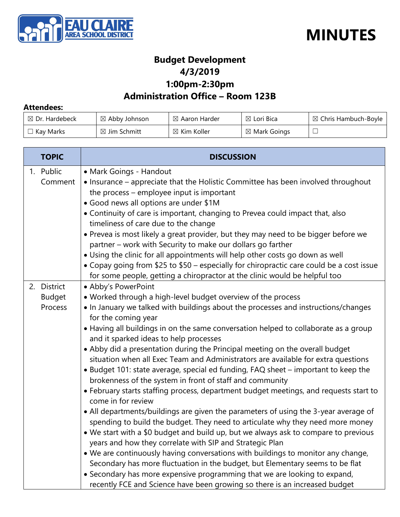



## **Budget Development 4/3/2019 1:00pm-2:30pm**

## **Administration Office – Room 123B**

#### **Attendees:**

| $\boxtimes$ Dr. Hardebeck | $\boxtimes$ Abby Johnson | $\boxtimes$ Aaron Harder | $\boxtimes$ Lori Bica   | $\boxtimes$ Chris Hambuch-Boyle |
|---------------------------|--------------------------|--------------------------|-------------------------|---------------------------------|
| $\Box$ Kay Marks          | $\boxtimes$ Jim Schmitt  | $\boxtimes$ Kim Koller   | $\boxtimes$ Mark Goings |                                 |

| <b>TOPIC</b>                            | <b>DISCUSSION</b>                                                                                                                                                                                                                                                                                                                                                                                                                                                                                                                                                                                                                                                                                                                                                                                                                                                                                                                                                                                                                                                                                                                                                                                                                                                                                                                                                                                                                   |
|-----------------------------------------|-------------------------------------------------------------------------------------------------------------------------------------------------------------------------------------------------------------------------------------------------------------------------------------------------------------------------------------------------------------------------------------------------------------------------------------------------------------------------------------------------------------------------------------------------------------------------------------------------------------------------------------------------------------------------------------------------------------------------------------------------------------------------------------------------------------------------------------------------------------------------------------------------------------------------------------------------------------------------------------------------------------------------------------------------------------------------------------------------------------------------------------------------------------------------------------------------------------------------------------------------------------------------------------------------------------------------------------------------------------------------------------------------------------------------------------|
| 1. Public<br>Comment                    | • Mark Goings - Handout<br>• Insurance - appreciate that the Holistic Committee has been involved throughout<br>the process - employee input is important<br>• Good news all options are under \$1M<br>• Continuity of care is important, changing to Prevea could impact that, also<br>timeliness of care due to the change<br>. Prevea is most likely a great provider, but they may need to be bigger before we<br>partner - work with Security to make our dollars go farther<br>. Using the clinic for all appointments will help other costs go down as well<br>• Copay going from \$25 to \$50 – especially for chiropractic care could be a cost issue<br>for some people, getting a chiropractor at the clinic would be helpful too                                                                                                                                                                                                                                                                                                                                                                                                                                                                                                                                                                                                                                                                                        |
| 2. District<br><b>Budget</b><br>Process | • Abby's PowerPoint<br>. Worked through a high-level budget overview of the process<br>. In January we talked with buildings about the processes and instructions/changes<br>for the coming year<br>• Having all buildings in on the same conversation helped to collaborate as a group<br>and it sparked ideas to help processes<br>• Abby did a presentation during the Principal meeting on the overall budget<br>situation when all Exec Team and Administrators are available for extra questions<br>• Budget 101: state average, special ed funding, FAQ sheet - important to keep the<br>brokenness of the system in front of staff and community<br>• February starts staffing process, department budget meetings, and requests start to<br>come in for review<br>• All departments/buildings are given the parameters of using the 3-year average of<br>spending to build the budget. They need to articulate why they need more money<br>• We start with a \$0 budget and build up, but we always ask to compare to previous<br>years and how they correlate with SIP and Strategic Plan<br>. We are continuously having conversations with buildings to monitor any change,<br>Secondary has more fluctuation in the budget, but Elementary seems to be flat<br>• Secondary has more expensive programming that we are looking to expand,<br>recently FCE and Science have been growing so there is an increased budget |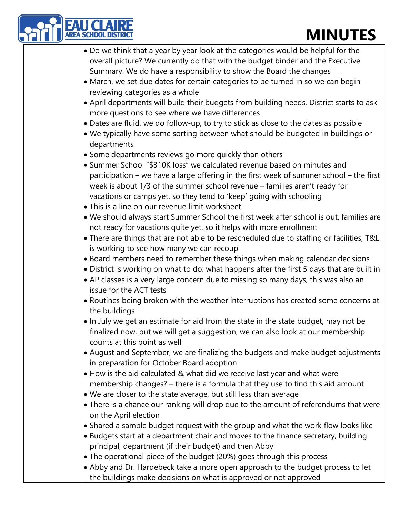## **MINUTES**

| <b>MINUTES</b>                                                                                                                                                                                                                                                                                                                                                              |
|-----------------------------------------------------------------------------------------------------------------------------------------------------------------------------------------------------------------------------------------------------------------------------------------------------------------------------------------------------------------------------|
| • Do we think that a year by year look at the categories would be helpful for the<br>overall picture? We currently do that with the budget binder and the Executive<br>Summary. We do have a responsibility to show the Board the changes<br>• March, we set due dates for certain categories to be turned in so we can begin                                               |
| reviewing categories as a whole<br>• April departments will build their budgets from building needs, District starts to ask<br>more questions to see where we have differences<br>• Dates are fluid, we do follow-up, to try to stick as close to the dates as possible                                                                                                     |
| . We typically have some sorting between what should be budgeted in buildings or<br>departments<br>• Some departments reviews go more quickly than others                                                                                                                                                                                                                   |
| • Summer School "\$310K loss" we calculated revenue based on minutes and<br>participation - we have a large offering in the first week of summer school - the first<br>week is about 1/3 of the summer school revenue - families aren't ready for<br>vacations or camps yet, so they tend to 'keep' going with schooling<br>• This is a line on our revenue limit worksheet |
| . We should always start Summer School the first week after school is out, families are<br>not ready for vacations quite yet, so it helps with more enrollment<br>• There are things that are not able to be rescheduled due to staffing or facilities, T&L<br>is working to see how many we can recoup                                                                     |
| • Board members need to remember these things when making calendar decisions<br>• District is working on what to do: what happens after the first 5 days that are built in<br>• AP classes is a very large concern due to missing so many days, this was also an<br>issue for the ACT tests                                                                                 |
| • Routines being broken with the weather interruptions has created some concerns at<br>the buildings                                                                                                                                                                                                                                                                        |
| • In July we get an estimate for aid from the state in the state budget, may not be<br>finalized now, but we will get a suggestion, we can also look at our membership<br>counts at this point as well                                                                                                                                                                      |
| • August and September, we are finalizing the budgets and make budget adjustments<br>in preparation for October Board adoption                                                                                                                                                                                                                                              |
| • How is the aid calculated & what did we receive last year and what were<br>membership changes? - there is a formula that they use to find this aid amount<br>• We are closer to the state average, but still less than average                                                                                                                                            |
| • There is a chance our ranking will drop due to the amount of referendums that were<br>on the April election                                                                                                                                                                                                                                                               |
| • Shared a sample budget request with the group and what the work flow looks like<br>• Budgets start at a department chair and moves to the finance secretary, building<br>principal, department (if their budget) and then Abby                                                                                                                                            |
| • The operational piece of the budget (20%) goes through this process<br>• Abby and Dr. Hardebeck take a more open approach to the budget process to let<br>the buildings make decisions on what is approved or not approved                                                                                                                                                |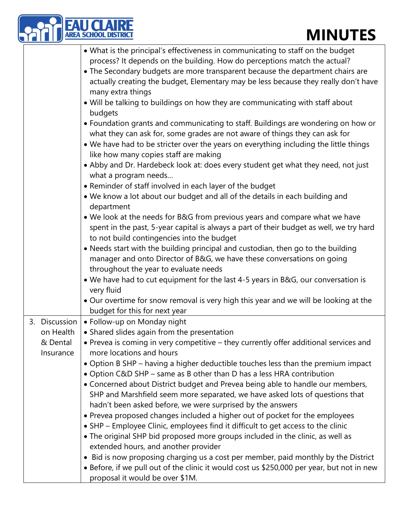# **MINUTES**

|  |                                                     | <b>MINUTES</b>                                                                                                                                                                                                                                                                                                                        |
|--|-----------------------------------------------------|---------------------------------------------------------------------------------------------------------------------------------------------------------------------------------------------------------------------------------------------------------------------------------------------------------------------------------------|
|  |                                                     | • What is the principal's effectiveness in communicating to staff on the budget<br>process? It depends on the building. How do perceptions match the actual?<br>• The Secondary budgets are more transparent because the department chairs are<br>actually creating the budget, Elementary may be less because they really don't have |
|  |                                                     | many extra things<br>. Will be talking to buildings on how they are communicating with staff about<br>budgets                                                                                                                                                                                                                         |
|  |                                                     | • Foundation grants and communicating to staff. Buildings are wondering on how or<br>what they can ask for, some grades are not aware of things they can ask for<br>• We have had to be stricter over the years on everything including the little things<br>like how many copies staff are making                                    |
|  |                                                     | • Abby and Dr. Hardebeck look at: does every student get what they need, not just<br>what a program needs                                                                                                                                                                                                                             |
|  |                                                     | • Reminder of staff involved in each layer of the budget<br>. We know a lot about our budget and all of the details in each building and<br>department                                                                                                                                                                                |
|  |                                                     | . We look at the needs for B&G from previous years and compare what we have<br>spent in the past, 5-year capital is always a part of their budget as well, we try hard<br>to not build contingencies into the budget                                                                                                                  |
|  |                                                     | . Needs start with the building principal and custodian, then go to the building<br>manager and onto Director of B&G, we have these conversations on going<br>throughout the year to evaluate needs                                                                                                                                   |
|  |                                                     | . We have had to cut equipment for the last 4-5 years in B&G, our conversation is<br>very fluid                                                                                                                                                                                                                                       |
|  |                                                     | . Our overtime for snow removal is very high this year and we will be looking at the<br>budget for this for next year                                                                                                                                                                                                                 |
|  | 3. Discussion<br>on Health<br>& Dental<br>Insurance | · Follow-up on Monday night<br>• Shared slides again from the presentation<br>• Prevea is coming in very competitive – they currently offer additional services and<br>more locations and hours                                                                                                                                       |
|  |                                                     | • Option B SHP - having a higher deductible touches less than the premium impact<br>. Option C&D SHP - same as B other than D has a less HRA contribution<br>• Concerned about District budget and Prevea being able to handle our members,                                                                                           |
|  |                                                     | SHP and Marshfield seem more separated, we have asked lots of questions that<br>hadn't been asked before, we were surprised by the answers<br>• Prevea proposed changes included a higher out of pocket for the employees<br>• SHP - Employee Clinic, employees find it difficult to get access to the clinic                         |
|  |                                                     | • The original SHP bid proposed more groups included in the clinic, as well as<br>extended hours, and another provider                                                                                                                                                                                                                |
|  |                                                     | • Bid is now proposing charging us a cost per member, paid monthly by the District<br>• Before, if we pull out of the clinic it would cost us \$250,000 per year, but not in new<br>proposal it would be over \$1M.                                                                                                                   |